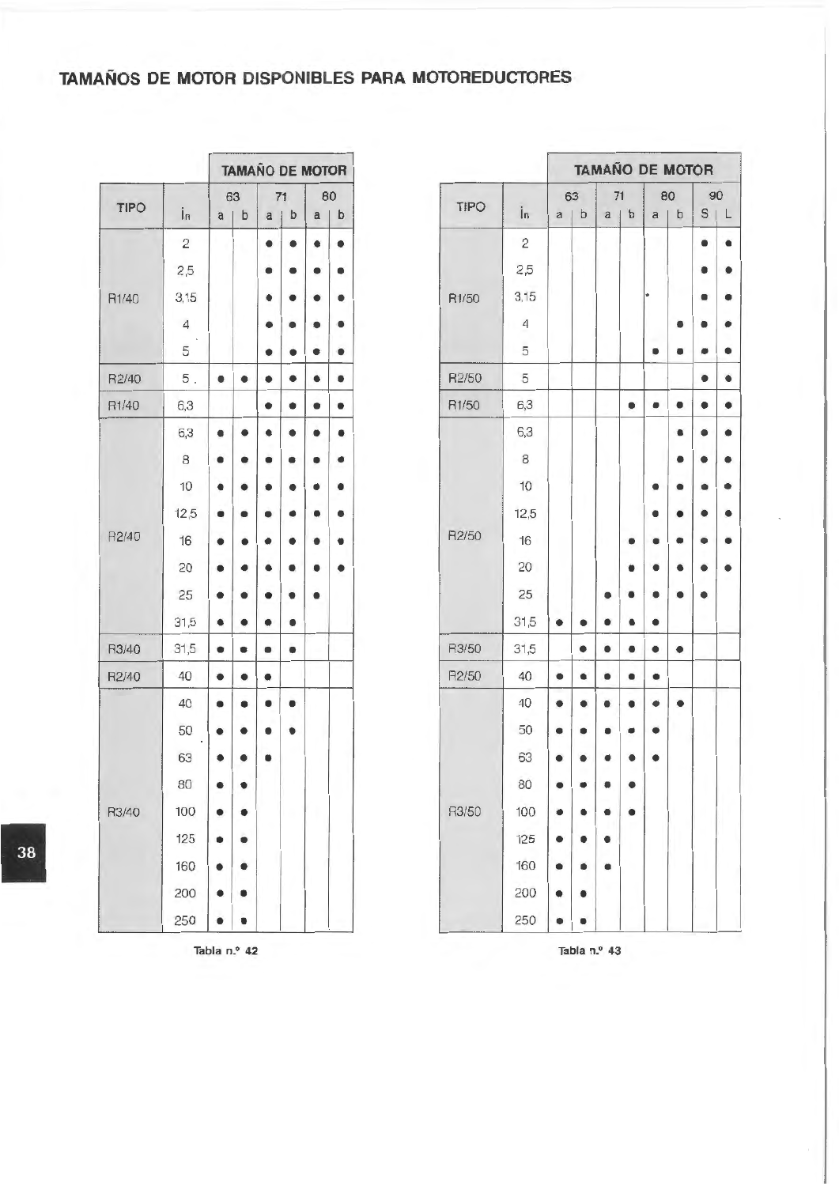## **TAMAÑOS DE MOTOR DISPONIBLES PARA MOTOREDUCTORES**

|             |                                |                | TAMAÑO DE MOTOR |                |             |   |    |
|-------------|--------------------------------|----------------|-----------------|----------------|-------------|---|----|
| <b>TIPO</b> |                                |                | 63              |                | 71          |   | 80 |
|             | În                             | a <sub>1</sub> | $\mathbf b$     | a <sub>1</sub> | $\mathbf b$ | a | b  |
|             | $\overline{c}$                 |                |                 | ٠              | ٠           | ٠ | ٠  |
|             | 2,5                            |                |                 |                |             |   | ۰  |
| R1/40       | 3,15                           |                |                 | ٠              |             | ٠ | ٠  |
|             | $\overline{4}$<br>$\mathbf{h}$ |                |                 | ٠              | ۰           | ٠ | ٠  |
|             | 5                              |                |                 | ۰              | ٠           | ٠ | ۰  |
| R2/40       | $5$ .                          | ۰              | ٠               | ٠              | ٠           | ٠ | ۰  |
| R1/40       | 6,3                            |                |                 | ٠              |             | ٠ | ٠  |
|             | 6,3                            | ٠              | ٠               | ٠              | ٠           | ٠ | ۰  |
|             | $^{\rm 8}$                     | ٠              | ٠               | ٠              | ٠           | ٠ | ۰  |
|             | 10                             | ٠              | ٠               |                | ٠           |   | ۰  |
|             | 12,5                           | ٠              | ٠               | ∙              | ٠           | ٠ | ٠  |
| R2/40       | 16                             | ٠              | ۰               |                |             |   | ۰  |
|             | 20                             | ٠              | ٠               |                |             |   | ٠  |
|             | 25                             | ٠              | ٠               | ٠              | ٠           | ٠ |    |
|             | 31,5                           | ۰              | ٠               | ۰              | ٠           |   |    |
| R3/40       | 31,5                           | ٠              | ٠               | ٠              | ٠           |   |    |
| R2/40       | 40                             | ٠              | ٠               | ۰              |             |   |    |
|             | 40                             | ٠              | ٠               | ٠              | ٠           |   |    |
|             | 50                             | ٠              | ٠               | ٠              | ٠           |   |    |
|             | 63                             | ۰              |                 |                |             |   |    |
|             | 80                             |                |                 |                |             |   |    |
| R3/40       | 100                            | ٠              | ٠               |                |             |   |    |
|             | 125                            | ٠              | ٠               |                |             |   |    |
|             | 160                            | ٠              | ٠               |                |             |   |    |
|             | 200                            | ۰              | ٠               |                |             |   |    |
|             | 250                            | ٠              | ٠               |                |             |   |    |

|             |                |                |    |          | <b>TAMAÑO DE MOTOR</b> |   |            |
|-------------|----------------|----------------|----|----------|------------------------|---|------------|
|             |                |                | 63 |          | 71                     |   | 80         |
| <b>TIPO</b> | În             | a <sub>1</sub> | b  | $a \mid$ | b                      |   | $a \mid b$ |
|             | $\overline{c}$ |                |    | ٠        | ٠                      | ۰ | ٠          |
|             | 2,5            |                |    | ٠        | ۰                      | ۰ | ۰          |
| R1/40       | 3,15           |                |    |          |                        |   | ٠          |
|             | $\overline{4}$ |                |    |          |                        |   | ۰          |
|             | 5              |                |    | ۰        | ٠                      | ٠ | ۰          |
| R2/40       | $5$ .          | ۰              | ٠  | ۰        | ٠                      | ٠ | ۰          |
| R1/40       | 6,3            |                |    | ٠        | ٠                      | ۰ | ٠          |
|             | 6,3            | ۰              | ٠  | ٠        |                        | ٠ | ۰          |
|             | $\,$ 8 $\,$    |                |    |          |                        | ٠ | ٠          |
|             | 10             | ٠              |    |          |                        | ٠ | ۰          |
|             | 12,5           |                | ٠  |          | ٠                      | ٠ | ٠          |
| R2/40       | 16             |                |    |          |                        | ٠ | ۰          |
|             | 20             |                | ٠  |          |                        | ٠ | ٠          |
|             | 25             | ٠              |    |          |                        | ٠ |            |
|             | 31,5           | ۰              | ٠  | ۰        | ٠                      |   |            |
| R3/40       | 31,5           | ٠              | ٠  | ٠        | ٠                      |   |            |
| R2/40       | 40             | ۰              | ٠  | ۰        |                        |   |            |
|             | 40             | ۰              | ۰  |          | ٠                      |   |            |
|             | 50             |                |    |          |                        |   |            |
|             | 63             |                |    |          |                        |   |            |
|             | $80\,$         |                | ٠  |          |                        |   |            |
| R3/40       | 100            |                |    |          |                        |   |            |
|             | 125            |                |    |          |                        |   |            |
|             | 160            |                |    |          |                        |   |            |
|             | 200            |                | ٠  |          |                        |   |            |
|             | 250            |                |    |          |                        |   |            |

Tabla n.º 43

Tabla n.º 42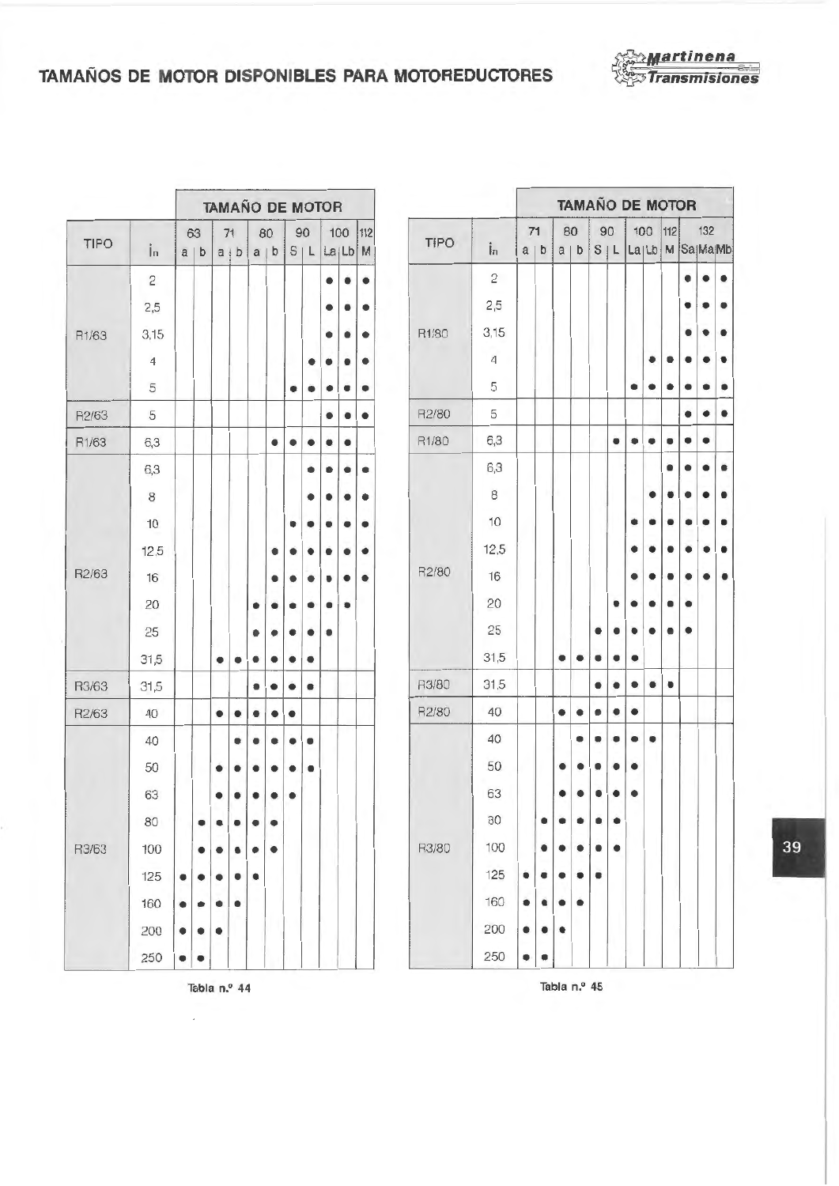

## **TAMAÑOS DE MOTOR DISPONIBLES PARA MOTOREDUCTORES <b>***x x Transmisiones*

| <b>TAMAÑO DE MOTOR</b>                                                                    |             |   |   |                  |   |           |         | <b>TAMAÑO DE MOTO</b> |     |  |
|-------------------------------------------------------------------------------------------|-------------|---|---|------------------|---|-----------|---------|-----------------------|-----|--|
| 63<br>71<br>80<br>90<br>100<br> 112 <br>TIPO<br>TIPO<br>În<br>İn<br>La Lb M<br>a b<br>S L | $71$<br>a b |   |   | 80<br>$a \mid b$ |   | 90<br>S L | La Lb M | 100                   | 112 |  |
| b<br>$a \mid b$<br>a <sub>1</sub>                                                         |             |   |   |                  |   |           |         |                       |     |  |
| $\overline{c}$<br>$\overline{c}$<br>۰                                                     |             |   |   |                  |   |           |         |                       |     |  |
| 2,5<br>2,5<br>۰                                                                           |             |   |   |                  |   |           |         |                       |     |  |
| 3,15<br>R1/80<br>3,15<br>R1/63<br>٠                                                       |             |   |   |                  |   |           |         |                       |     |  |
| 4<br>$\overline{4}$<br>۰<br>۰                                                             |             |   |   |                  |   |           |         | ٠                     |     |  |
| 5<br>5<br>۰<br>۰<br>٠                                                                     |             |   |   |                  |   |           | ٠       | ۰                     |     |  |
| R2/80<br>5<br>R2/63<br>5<br>۰                                                             |             |   |   |                  |   |           |         |                       |     |  |
| R1/80<br>6,3<br>R1/63<br>6,3<br>٠<br>٠<br>٠<br>٠<br>e                                     |             |   |   |                  |   | ۰         | ۰       | ۰                     | ٠   |  |
| 6,3<br>6,3<br>۰                                                                           |             |   |   |                  |   |           |         |                       |     |  |
| 8<br>$\,$ 8 $\,$<br>۰                                                                     |             |   |   |                  |   |           |         |                       |     |  |
| 10<br>10<br>٠                                                                             |             |   |   |                  |   |           |         |                       |     |  |
| 12,5<br>12,5<br>٠                                                                         |             |   |   |                  |   |           |         |                       |     |  |
| R2/80<br>R2/63<br>16<br>16<br>۰                                                           |             |   |   |                  |   |           |         |                       |     |  |
| 20<br>20                                                                                  |             |   |   |                  |   |           |         |                       |     |  |
| 25<br>25<br>٠                                                                             |             |   |   |                  |   |           |         |                       |     |  |
| 31,5<br>31,5<br>٠<br>٠<br>۰<br>۰<br>٠<br>٠                                                |             |   | ٠ | ٠                | ٠ |           |         |                       |     |  |
| R3/80<br>31,5<br>R3/63<br>31,5<br>۰<br>٠<br>٠                                             |             |   |   |                  | ۰ |           |         | ٠                     |     |  |
| 40<br>R2/80<br>R2/63<br>40<br>٠<br>٠<br>٠                                                 |             |   | ٠ | ٠                | ۰ | ٠         | ٠       |                       |     |  |
| 40<br>40                                                                                  |             |   |   |                  |   |           |         |                       |     |  |
| 50<br>50<br>٠                                                                             |             |   |   |                  |   |           |         |                       |     |  |
| 63<br>63<br>۰                                                                             |             |   |   |                  |   |           |         |                       |     |  |
| 80<br>80<br>٠<br>٠                                                                        |             |   |   |                  |   |           |         |                       |     |  |
| R3/80<br>100<br>R3/63<br>100                                                              |             |   |   |                  | ٠ | ٠         |         |                       |     |  |
| 125<br>125<br>٠<br>٠                                                                      |             |   |   |                  | ٠ |           |         |                       |     |  |
| 160<br>160<br>٠<br>٠                                                                      |             |   |   |                  |   |           |         |                       |     |  |
| 200<br>200<br>۰<br>۰<br>٠                                                                 |             |   | ٠ |                  |   |           |         |                       |     |  |
| 250<br>250<br>٠<br>۰                                                                      | ۰           | ۰ |   |                  |   |           |         |                       |     |  |

|       |                |   |     |                    |    |   |     | <b>TAMAÑO DE MOTOR</b> |    |   |         |     |             |              |                |   |            |   |   |     |   |     |     | <b>TAMAÑO DE MOTOR</b>                 |     |   |
|-------|----------------|---|-----|--------------------|----|---|-----|------------------------|----|---|---------|-----|-------------|--------------|----------------|---|------------|---|---|-----|---|-----|-----|----------------------------------------|-----|---|
|       |                |   | 63  |                    | 71 |   | 80  |                        | 90 |   | 100     | 112 |             |              | $71$           |   | 80         |   |   | 90  |   | 100 | 112 |                                        | 132 |   |
| TIPO  | İn             |   | a b | $a$ $\uparrow$ $b$ |    |   | a b | S L                    |    |   | La Lb M |     | <b>TIPO</b> | $\mathbf{i}$ | a <sub>1</sub> | b | $a \mid b$ |   |   | S L |   |     |     | La <sub>ILb</sub> M Sa <sub>MaMb</sub> |     |   |
|       | $\overline{c}$ |   |     |                    |    |   |     |                        |    |   |         |     |             | $\mathbf{2}$ |                |   |            |   |   |     |   |     |     |                                        | ٠   | ٠ |
|       | 2,5            |   |     |                    |    |   |     |                        |    |   |         |     |             | 2,5          |                |   |            |   |   |     |   |     |     |                                        |     |   |
| R1/63 | 3,15           |   |     |                    |    |   |     |                        |    |   |         | ٠   | R1/80       | 3,15         |                |   |            |   |   |     |   |     |     |                                        |     |   |
|       | $\overline{4}$ |   |     |                    |    |   |     |                        | ٠  |   | 9       | ۰   |             | 4            |                |   |            |   |   |     |   | ٠   |     |                                        |     | ٠ |
|       | 5              |   |     |                    |    |   |     | ٠                      | ٠  |   |         | ۰   |             | 5            |                |   |            |   |   |     |   | ٠   |     |                                        |     | ٠ |
| R2/63 | 5              |   |     |                    |    |   |     |                        |    | ٠ |         |     | R2/80       | 5            |                |   |            |   |   |     |   |     |     | ٠                                      | ٠   | ٠ |
| R1/63 | 6,3            |   |     |                    |    |   | ٠   | ٠                      | ٠  |   |         |     | R1/80       | 6,3          |                |   |            |   |   | ۰   | ۰ |     |     |                                        | ٠   |   |
|       | 6,3            |   |     |                    |    |   |     |                        | ٠  |   |         | ٠   |             | 6,3          |                |   |            |   |   |     |   |     |     |                                        |     |   |
|       | $^{\rm 8}$     |   |     |                    |    |   |     |                        | ٠  |   | ٠       | ٠   |             | 8            |                |   |            |   |   |     |   |     |     |                                        |     | ٠ |
|       | 10             |   |     |                    |    |   |     |                        |    |   | ٠       | ٠   |             | 10           |                |   |            |   |   |     | ۰ | ۰   |     |                                        |     | ٠ |
|       | 12,5           |   |     |                    |    |   | ٠   |                        |    |   |         |     |             | 12,5         |                |   |            |   |   |     |   |     |     |                                        |     | ٠ |
| R2/63 | 16             |   |     |                    |    |   |     |                        |    |   |         | ٠   | R2/80       | 16           |                |   |            |   |   |     |   |     |     |                                        |     | ٠ |
|       | 20             |   |     |                    |    |   |     |                        |    |   | ٠       |     |             | 20           |                |   |            |   |   |     |   |     |     |                                        |     |   |
|       | 25             |   |     |                    |    | 0 |     |                        |    | ٠ |         |     |             | 25           |                |   |            |   |   |     | ٠ |     |     | ٠                                      |     |   |
|       | 31,5           |   |     | ۰                  | ۰  | ٠ | ٠   |                        | ٠  |   |         |     |             | 31,5         |                |   | ٠          | ۰ | ۰ | ۰   | ٠ |     |     |                                        |     |   |
| R3/63 | 31,5           |   |     |                    |    | ۰ | ٠   | ٠                      | ٠  |   |         |     | R3/80       | 31,5         |                |   |            |   | ٠ | ٠   | ۰ | ٠   | ٠   |                                        |     |   |
| R2/63 | 40             |   |     | ٠                  | ٠  | ٠ | ٠   | ٠                      |    |   |         |     | R2/80       | 40           |                |   | ٠          | ٠ | ٠ | ٠   | ٠ |     |     |                                        |     |   |
|       | 40             |   |     |                    | ۰  | ٠ | ۰   | ٠                      | ٠  |   |         |     |             | 40           |                |   |            |   |   |     |   | ٠   |     |                                        |     |   |
|       | 50             |   |     |                    |    | ٠ |     | ٠                      | ٠  |   |         |     |             | 50           |                |   |            |   |   |     | ۰ |     |     |                                        |     |   |
|       | 63             |   |     |                    |    |   |     | ۰                      |    |   |         |     |             | 63           |                |   |            |   |   |     | ۰ |     |     |                                        |     |   |
|       | 80             |   | ٠   |                    |    |   | ٠   |                        |    |   |         |     |             | 80           |                |   |            |   |   |     |   |     |     |                                        |     |   |
| R3/63 | 100            |   |     |                    |    |   | ٠   |                        |    |   |         |     | R3/80       | 100          |                |   |            |   |   |     |   |     |     |                                        |     |   |
|       | 125            |   |     |                    |    | ٠ |     |                        |    |   |         |     |             | 125          |                |   |            |   |   |     |   |     |     |                                        |     |   |
|       | 160            |   |     |                    |    |   |     |                        |    |   |         |     |             | 160          | ٠              | ٠ |            |   |   |     |   |     |     |                                        |     |   |
|       | 200            | ۰ |     | ٠                  |    |   |     |                        |    |   |         |     |             | 200          |                | ٠ |            |   |   |     |   |     |     |                                        |     |   |
|       | 250            | ۰ | ٠   |                    |    |   |     |                        |    |   |         |     |             | 250          | ۰              | ٠ |            |   |   |     |   |     |     |                                        |     |   |

Tabla n.º 44

 $\overline{a}$ 

Tabla n.º 45